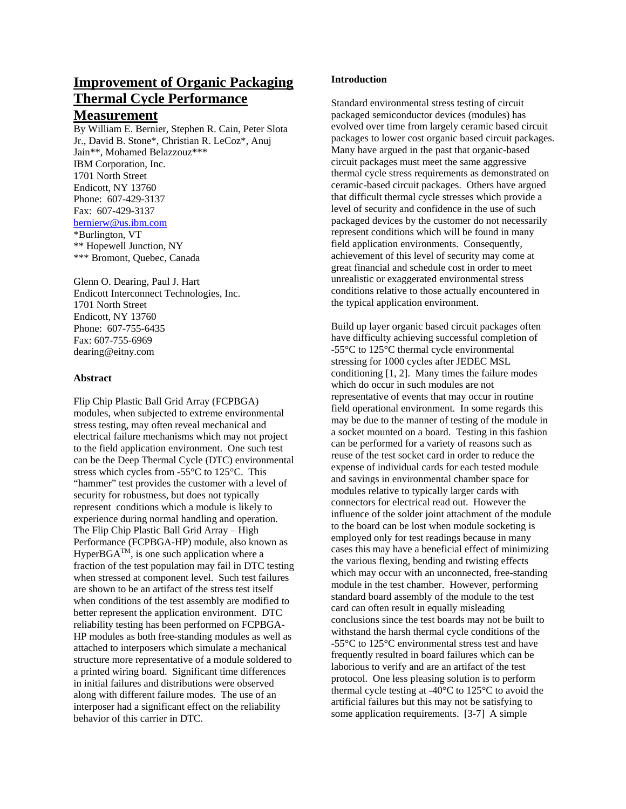# **Improvement of Organic Packaging Thermal Cycle Performance**

# **Measurement**

By William E. Bernier, Stephen R. Cain, Peter Slota Jr., David B. Stone\*, Christian R. LeCoz\*, Anuj Jain\*\*, Mohamed Belazzouz\*\*\* IBM Corporation, Inc. 1701 North Street Endicott, NY 13760 Phone: 607-429-3137 Fax: 607-429-3137 [bernierw@us.ibm.com](mailto:bernierw@us.ibm.com) \*Burlington, VT \*\* Hopewell Junction, NY \*\*\* Bromont, Quebec, Canada

Glenn O. Dearing, Paul J. Hart Endicott Interconnect Technologies, Inc. 1701 North Street Endicott, NY 13760 Phone: 607-755-6435 Fax: 607-755-6969 dearing@eitny.com

#### **Abstract**

Flip Chip Plastic Ball Grid Array (FCPBGA) modules, when subjected to extreme environmental stress testing, may often reveal mechanical and electrical failure mechanisms which may not project to the field application environment. One such test can be the Deep Thermal Cycle (DTC) environmental stress which cycles from -55°C to 125°C. This "hammer" test provides the customer with a level of security for robustness, but does not typically represent conditions which a module is likely to experience during normal handling and operation. The Flip Chip Plastic Ball Grid Array – High Performance (FCPBGA-HP) module, also known as  $HyperBGA^{TM}$ , is one such application where a fraction of the test population may fail in DTC testing when stressed at component level. Such test failures are shown to be an artifact of the stress test itself when conditions of the test assembly are modified to better represent the application environment. DTC reliability testing has been performed on FCPBGA-HP modules as both free-standing modules as well as attached to interposers which simulate a mechanical structure more representative of a module soldered to a printed wiring board. Significant time differences in initial failures and distributions were observed along with different failure modes. The use of an interposer had a significant effect on the reliability behavior of this carrier in DTC.

## **Introduction**

Standard environmental stress testing of circuit packaged semiconductor devices (modules) has evolved over time from largely ceramic based circuit packages to lower cost organic based circuit packages. Many have argued in the past that organic-based circuit packages must meet the same aggressive thermal cycle stress requirements as demonstrated on ceramic-based circuit packages. Others have argued that difficult thermal cycle stresses which provide a level of security and confidence in the use of such packaged devices by the customer do not necessarily represent conditions which will be found in many field application environments. Consequently, achievement of this level of security may come at great financial and schedule cost in order to meet unrealistic or exaggerated environmental stress conditions relative to those actually encountered in the typical application environment.

Build up layer organic based circuit packages often have difficulty achieving successful completion of -55°C to 125°C thermal cycle environmental stressing for 1000 cycles after JEDEC MSL conditioning [1, 2]. Many times the failure modes which do occur in such modules are not representative of events that may occur in routine field operational environment. In some regards this may be due to the manner of testing of the module in a socket mounted on a board. Testing in this fashion can be performed for a variety of reasons such as reuse of the test socket card in order to reduce the expense of individual cards for each tested module and savings in environmental chamber space for modules relative to typically larger cards with connectors for electrical read out. However the influence of the solder joint attachment of the module to the board can be lost when module socketing is employed only for test readings because in many cases this may have a beneficial effect of minimizing the various flexing, bending and twisting effects which may occur with an unconnected, free-standing module in the test chamber. However, performing standard board assembly of the module to the test card can often result in equally misleading conclusions since the test boards may not be built to withstand the harsh thermal cycle conditions of the -55°C to 125°C environmental stress test and have frequently resulted in board failures which can be laborious to verify and are an artifact of the test protocol. One less pleasing solution is to perform thermal cycle testing at -40°C to 125°C to avoid the artificial failures but this may not be satisfying to some application requirements. [3-7] A simple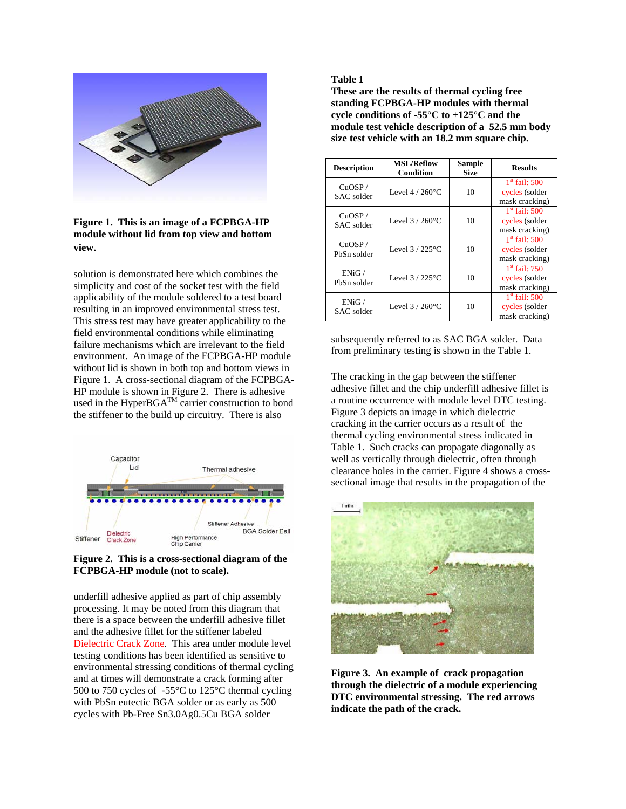

**Figure 1. This is an image of a FCPBGA-HP module without lid from top view and bottom view**.

solution is demonstrated here which combines the simplicity and cost of the socket test with the field applicability of the module soldered to a test board resulting in an improved environmental stress test. This stress test may have greater applicability to the field environmental conditions while eliminating failure mechanisms which are irrelevant to the field environment. An image of the FCPBGA-HP module without lid is shown in both top and bottom views in Figure 1. A cross-sectional diagram of the FCPBGA-HP module is shown in Figure 2. There is adhesive used in the HyperBGA<sup>TM</sup> carrier construction to bond the stiffener to the build up circuitry. There is also



#### **Figure 2. This is a cross-sectional diagram of the FCPBGA-HP module (not to scale).**

underfill adhesive applied as part of chip assembly processing. It may be noted from this diagram that there is a space between the underfill adhesive fillet and the adhesive fillet for the stiffener labeled Dielectric Crack Zone. This area under module level testing conditions has been identified as sensitive to environmental stressing conditions of thermal cycling and at times will demonstrate a crack forming after 500 to 750 cycles of -55°C to 125°C thermal cycling with PbSn eutectic BGA solder or as early as 500 cycles with Pb-Free Sn3.0Ag0.5Cu BGA solder

#### **Table 1**

**These are the results of thermal cycling free standing FCPBGA-HP modules with thermal cycle conditions of -55°C to +125°C and the module test vehicle description of a 52.5 mm body size test vehicle with an 18.2 mm square chip.** 

| <b>Description</b>    | <b>MSL/Reflow</b><br><b>Condition</b> | <b>Sample</b><br><b>Size</b> | <b>Results</b>                                      |
|-----------------------|---------------------------------------|------------------------------|-----------------------------------------------------|
| CuOSP/<br>SAC solder  | Level $4/260^{\circ}$ C               | 10                           | $1st$ fail: 500<br>cycles (solder<br>mask cracking) |
| CuOSP/<br>SAC solder  | Level $3/260^{\circ}$ C               | 10                           | $1st$ fail: 500<br>cycles (solder<br>mask cracking) |
| CuOSP/<br>PbSn solder | Level $3/225$ °C                      | 10                           | $1st$ fail: 500<br>cycles (solder<br>mask cracking) |
| ENiG/<br>PbSn solder  | Level $3/225^{\circ}$ C               | 10                           | $1st$ fail: 750<br>cycles (solder<br>mask cracking) |
| ENiG/<br>SAC solder   | Level $3/260^{\circ}$ C               | 10                           | $1st$ fail: 500<br>cycles (solder<br>mask cracking) |

subsequently referred to as SAC BGA solder. Data from preliminary testing is shown in the Table 1.

The cracking in the gap between the stiffener adhesive fillet and the chip underfill adhesive fillet is a routine occurrence with module level DTC testing. Figure 3 depicts an image in which dielectric cracking in the carrier occurs as a result of the thermal cycling environmental stress indicated in Table 1. Such cracks can propagate diagonally as well as vertically through dielectric, often through clearance holes in the carrier. Figure 4 shows a crosssectional image that results in the propagation of the



**Figure 3. An example of crack propagation through the dielectric of a module experiencing DTC environmental stressing. The red arrows indicate the path of the crack.**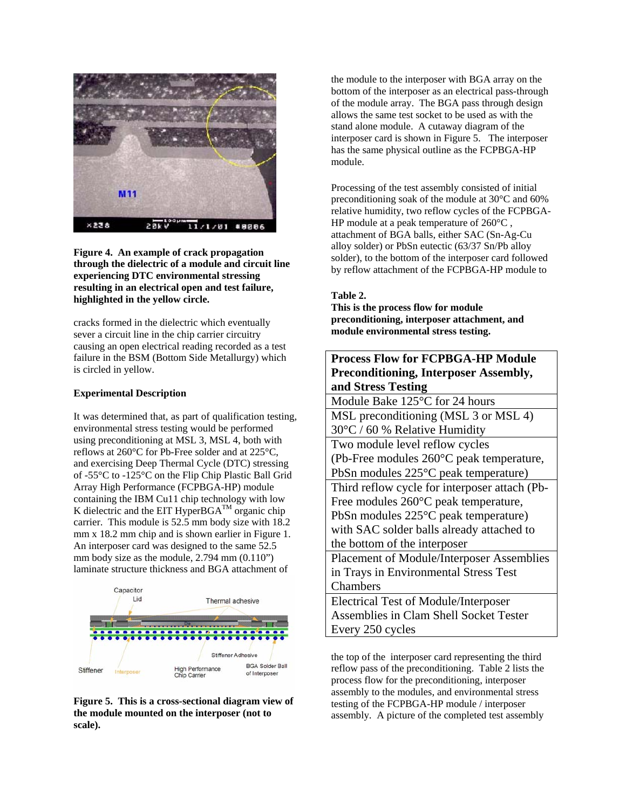

**Figure 4. An example of crack propagation through the dielectric of a module and circuit line experiencing DTC environmental stressing resulting in an electrical open and test failure, highlighted in the yellow circle.** 

cracks formed in the dielectric which eventually sever a circuit line in the chip carrier circuitry causing an open electrical reading recorded as a test failure in the BSM (Bottom Side Metallurgy) which is circled in yellow.

#### **Experimental Description**

It was determined that, as part of qualification testing, environmental stress testing would be performed using preconditioning at MSL 3, MSL 4, both with reflows at 260°C for Pb-Free solder and at 225°C, and exercising Deep Thermal Cycle (DTC) stressing of -55°C to -125°C on the Flip Chip Plastic Ball Grid Array High Performance (FCPBGA-HP) module containing the IBM Cu11 chip technology with low K dielectric and the EIT HyperBGA<sup>TM</sup> organic chip carrier. This module is 52.5 mm body size with 18.2 mm x 18.2 mm chip and is shown earlier in Figure 1. An interposer card was designed to the same 52.5 mm body size as the module, 2.794 mm (0.110") laminate structure thickness and BGA attachment of



**Figure 5. This is a cross-sectional diagram view of the module mounted on the interposer (not to scale).** 

the module to the interposer with BGA array on the bottom of the interposer as an electrical pass-through of the module array. The BGA pass through design allows the same test socket to be used as with the stand alone module. A cutaway diagram of the interposer card is shown in Figure 5. The interposer has the same physical outline as the FCPBGA-HP module.

Processing of the test assembly consisted of initial preconditioning soak of the module at 30°C and 60% relative humidity, two reflow cycles of the FCPBGA-HP module at a peak temperature of 260°C , attachment of BGA balls, either SAC (Sn-Ag-Cu alloy solder) or PbSn eutectic (63/37 Sn/Pb alloy solder), to the bottom of the interposer card followed by reflow attachment of the FCPBGA-HP module to

## **Table 2.**

**This is the process flow for module preconditioning, interposer attachment, and module environmental stress testing.** 

**Process Flow for FCPBGA-HP Module** 

| Process Flow for FCPBGA-HP Module             |  |  |  |  |
|-----------------------------------------------|--|--|--|--|
| <b>Preconditioning, Interposer Assembly,</b>  |  |  |  |  |
| and Stress Testing                            |  |  |  |  |
| Module Bake 125°C for 24 hours                |  |  |  |  |
| MSL preconditioning (MSL 3 or MSL 4)          |  |  |  |  |
| 30°C / 60 % Relative Humidity                 |  |  |  |  |
| Two module level reflow cycles                |  |  |  |  |
| (Pb-Free modules 260°C peak temperature,      |  |  |  |  |
| PbSn modules 225°C peak temperature)          |  |  |  |  |
| Third reflow cycle for interposer attach (Pb- |  |  |  |  |
| Free modules 260°C peak temperature,          |  |  |  |  |
| PbSn modules 225°C peak temperature)          |  |  |  |  |
| with SAC solder balls already attached to     |  |  |  |  |
| the bottom of the interposer                  |  |  |  |  |
| Placement of Module/Interposer Assemblies     |  |  |  |  |
| in Trays in Environmental Stress Test         |  |  |  |  |
| Chambers                                      |  |  |  |  |
| <b>Electrical Test of Module/Interposer</b>   |  |  |  |  |
| Assemblies in Clam Shell Socket Tester        |  |  |  |  |
| Every 250 cycles                              |  |  |  |  |
|                                               |  |  |  |  |

the top of the interposer card representing the third reflow pass of the preconditioning. Table 2 lists the process flow for the preconditioning, interposer assembly to the modules, and environmental stress testing of the FCPBGA-HP module / interposer assembly. A picture of the completed test assembly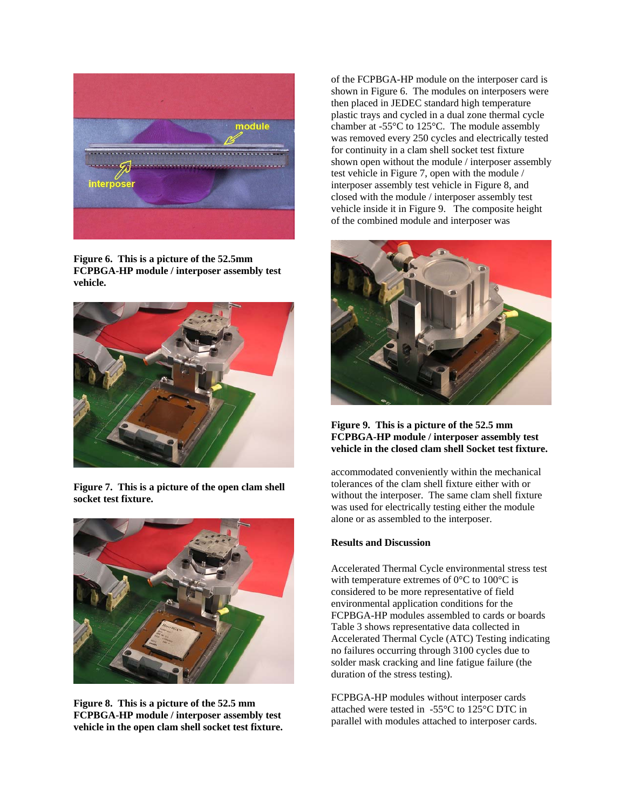

**Figure 6. This is a picture of the 52.5mm FCPBGA-HP module / interposer assembly test vehicle.** 



**Figure 7. This is a picture of the open clam shell socket test fixture.** 



**Figure 8. This is a picture of the 52.5 mm FCPBGA-HP module / interposer assembly test vehicle in the open clam shell socket test fixture.** 

of the FCPBGA-HP module on the interposer card is shown in Figure 6. The modules on interposers were then placed in JEDEC standard high temperature plastic trays and cycled in a dual zone thermal cycle chamber at -55°C to 125°C. The module assembly was removed every 250 cycles and electrically tested for continuity in a clam shell socket test fixture shown open without the module / interposer assembly test vehicle in Figure 7, open with the module / interposer assembly test vehicle in Figure 8, and closed with the module / interposer assembly test vehicle inside it in Figure 9. The composite height of the combined module and interposer was



#### **Figure 9. This is a picture of the 52.5 mm FCPBGA-HP module / interposer assembly test vehicle in the closed clam shell Socket test fixture.**

accommodated conveniently within the mechanical tolerances of the clam shell fixture either with or without the interposer. The same clam shell fixture was used for electrically testing either the module alone or as assembled to the interposer.

# **Results and Discussion**

Accelerated Thermal Cycle environmental stress test with temperature extremes of  $0^{\circ}$ C to  $100^{\circ}$ C is considered to be more representative of field environmental application conditions for the FCPBGA-HP modules assembled to cards or boards Table 3 shows representative data collected in Accelerated Thermal Cycle (ATC) Testing indicating no failures occurring through 3100 cycles due to solder mask cracking and line fatigue failure (the duration of the stress testing).

FCPBGA-HP modules without interposer cards attached were tested in -55°C to 125°C DTC in parallel with modules attached to interposer cards.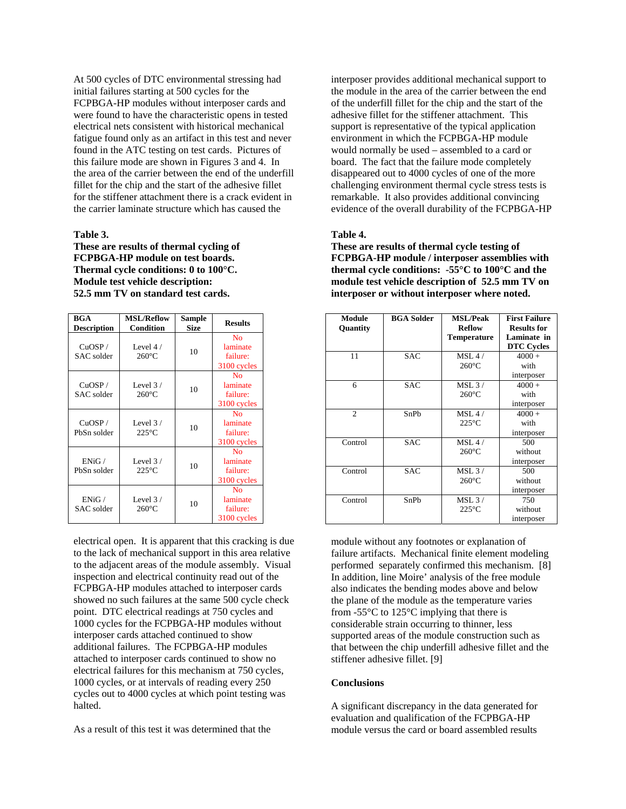At 500 cycles of DTC environmental stressing had initial failures starting at 500 cycles for the FCPBGA-HP modules without interposer cards and were found to have the characteristic opens in tested electrical nets consistent with historical mechanical fatigue found only as an artifact in this test and never found in the ATC testing on test cards. Pictures of this failure mode are shown in Figures 3 and 4. In the area of the carrier between the end of the underfill fillet for the chip and the start of the adhesive fillet for the stiffener attachment there is a crack evident in the carrier laminate structure which has caused the

#### **Table 3.**

**These are results of thermal cycling of FCPBGA-HP module on test boards. Thermal cycle conditions: 0 to 100°C. Module test vehicle description: 52.5 mm TV on standard test cards.** 

| <b>BGA</b><br><b>Description</b> | <b>MSL/Reflow</b><br><b>Condition</b> | Sample<br><b>Size</b> | <b>Results</b>                                        |
|----------------------------------|---------------------------------------|-----------------------|-------------------------------------------------------|
| CuOSP/<br>SAC solder             | Level $4/$<br>$260^{\circ}$ C         | 10                    | N <sub>0</sub><br>laminate<br>failure:<br>3100 cycles |
| CuOSP/<br>SAC solder             | Level $3/$<br>$260^{\circ}$ C         | 10                    | No.<br>laminate<br>failure:<br>3100 cycles            |
| CuOSP/<br>PbSn solder            | Level $3/$<br>$225^{\circ}$ C         | 10                    | No.<br>laminate<br>failure:<br>3100 cycles            |
| ENiG/<br>PbSn solder             | Level $3/$<br>$225^{\circ}$ C         | 10                    | N <sub>0</sub><br>laminate<br>failure:<br>3100 cycles |
| ENiG/<br>SAC solder              | Level $3/$<br>$260^{\circ}$ C         | 10                    | N <sub>0</sub><br>laminate<br>failure:<br>3100 cycles |

electrical open. It is apparent that this cracking is due to the lack of mechanical support in this area relative to the adjacent areas of the module assembly. Visual inspection and electrical continuity read out of the FCPBGA-HP modules attached to interposer cards showed no such failures at the same 500 cycle check point. DTC electrical readings at 750 cycles and 1000 cycles for the FCPBGA-HP modules without interposer cards attached continued to show additional failures. The FCPBGA-HP modules attached to interposer cards continued to show no electrical failures for this mechanism at 750 cycles, 1000 cycles, or at intervals of reading every 250 cycles out to 4000 cycles at which point testing was halted.

As a result of this test it was determined that the

interposer provides additional mechanical support to the module in the area of the carrier between the end of the underfill fillet for the chip and the start of the adhesive fillet for the stiffener attachment. This support is representative of the typical application environment in which the FCPBGA-HP module would normally be used – assembled to a card or board. The fact that the failure mode completely disappeared out to 4000 cycles of one of the more challenging environment thermal cycle stress tests is remarkable. It also provides additional convincing evidence of the overall durability of the FCPBGA-HP

#### **Table 4.**

**These are results of thermal cycle testing of FCPBGA-HP module / interposer assemblies with thermal cycle conditions: -55°C to 100°C and the module test vehicle description of 52.5 mm TV on interposer or without interposer where noted.** 

| Module<br>Quantity | <b>BGA</b> Solder | <b>MSL/Peak</b><br><b>Reflow</b><br><b>Temperature</b> | <b>First Failure</b><br><b>Results for</b><br>Laminate in<br><b>DTC Cycles</b> |
|--------------------|-------------------|--------------------------------------------------------|--------------------------------------------------------------------------------|
| 11                 | <b>SAC</b>        | MSL4/                                                  | $4000 +$                                                                       |
|                    |                   | $260^{\circ}$ C                                        | with<br>interposer                                                             |
| 6                  | <b>SAC</b>        | $MSL$ 3 /                                              | $4000 +$                                                                       |
|                    |                   | $260^{\circ}$ C                                        | with                                                                           |
|                    |                   |                                                        | interposer                                                                     |
| $\overline{c}$     | SnPh              | MSL4/                                                  | $4000 +$                                                                       |
|                    |                   | $225^{\circ}$ C                                        | with                                                                           |
|                    |                   |                                                        | interposer                                                                     |
| Control            | <b>SAC</b>        | MSL4/                                                  | 500                                                                            |
|                    |                   | $260^{\circ}$ C                                        | without                                                                        |
|                    |                   |                                                        | interposer                                                                     |
| Control            | <b>SAC</b>        | MSL3/                                                  | 500                                                                            |
|                    |                   | $260^{\circ}$ C                                        | without                                                                        |
|                    |                   |                                                        | interposer                                                                     |
| Control            | SnPh              | $MSL$ 3 /                                              | 750                                                                            |
|                    |                   | $225^{\circ}$ C                                        | without                                                                        |
|                    |                   |                                                        | interposer                                                                     |

module without any footnotes or explanation of failure artifacts. Mechanical finite element modeling performed separately confirmed this mechanism. [8] In addition, line Moire' analysis of the free module also indicates the bending modes above and below the plane of the module as the temperature varies from  $-55^{\circ}$ C to  $125^{\circ}$ C implying that there is considerable strain occurring to thinner, less supported areas of the module construction such as that between the chip underfill adhesive fillet and the stiffener adhesive fillet. [9]

#### **Conclusions**

A significant discrepancy in the data generated for evaluation and qualification of the FCPBGA-HP module versus the card or board assembled results